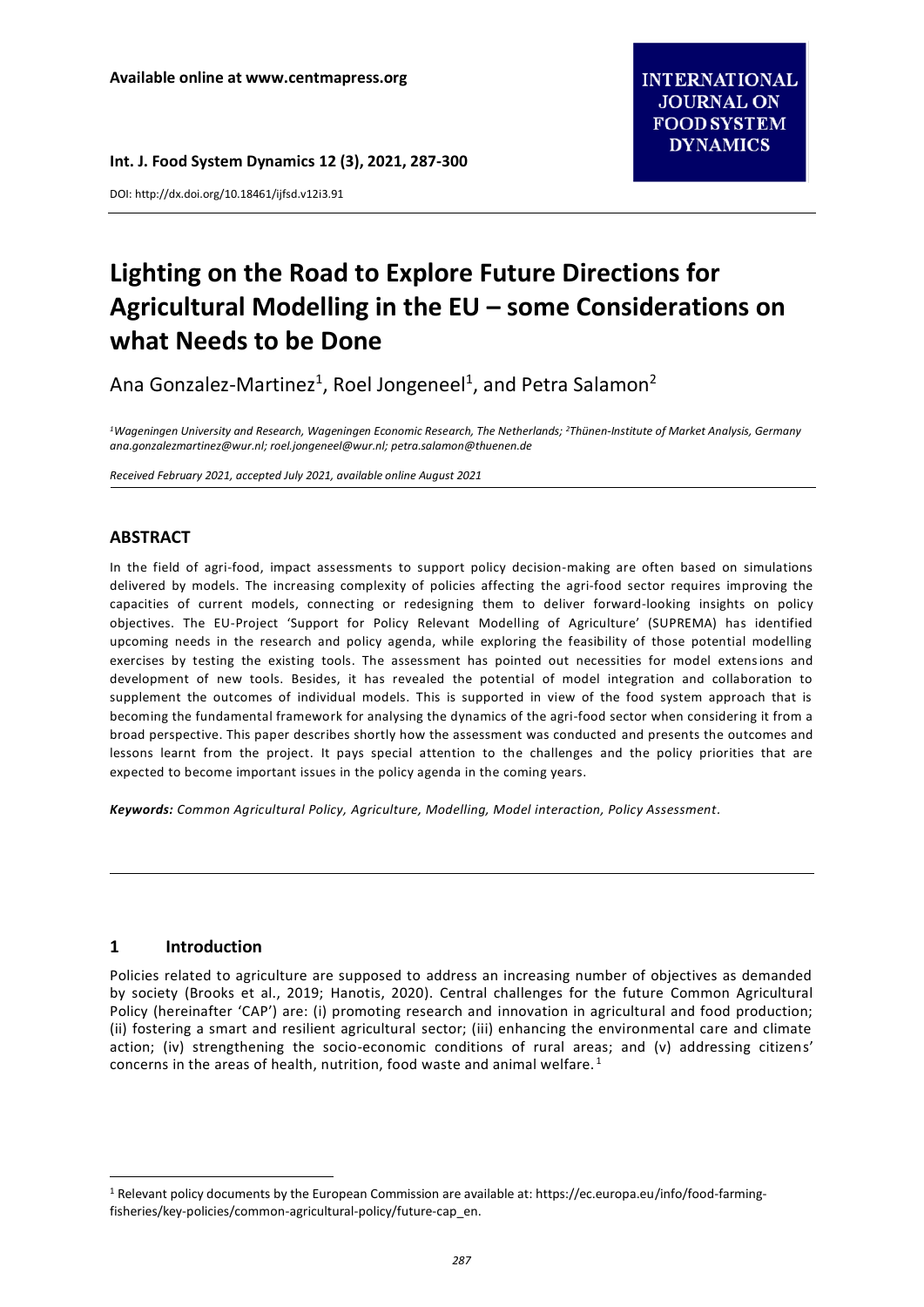**Int. J. Food System Dynamics 12 (3), 2021, 287-300**

DOI: http://dx.doi.org/10.18461/ijfsd.v12i3.91

# **Lighting on the Road to Explore Future Directions for Agricultural Modelling in the EU – some Considerations on what Needs to be Done**

Ana Gonzalez-Martinez<sup>1</sup>, Roel Jongeneel<sup>1</sup>, and Petra Salamon<sup>2</sup>

<sup>1</sup>*Wageningen University and Research, Wageningen Economic Research, The Netherlands; <sup>2</sup>Thünen-Institute of Market Analysis, Germany [ana.gonzalezmartinez@wur.nl;](mailto:ana.gonzalezmartinez@wur.nl) [roel.jongeneel@wur.nl;](mailto:roel.jongeneel@wur.nl) [petra.salamon@thuenen.de](mailto:petra.salamon@thuenen.de)*

*Received February 2021, accepted July 2021, available online August 2021*

# **ABSTRACT**

In the field of agri-food, impact assessments to support policy decision-making are often based on simulations delivered by models. The increasing complexity of policies affecting the agri-food sector requires improving the capacities of current models, connecting or redesigning them to deliver forward-looking insights on policy objectives. The EU-Project 'Support for Policy Relevant Modelling of Agriculture' (SUPREMA) has identified upcoming needs in the research and policy agenda, while exploring the feasibility of those potential modelling exercises by testing the existing tools. The assessment has pointed out necessities for model extensions and development of new tools. Besides, it has revealed the potential of model integration and collaboration to supplement the outcomes of individual models. This is supported in view of the food system approach that is becoming the fundamental framework for analysing the dynamics of the agri-food sector when considering it from a broad perspective. This paper describes shortly how the assessment was conducted and presents the outcomes and lessons learnt from the project. It pays special attention to the challenges and the policy priorities that are expected to become important issues in the policy agenda in the coming years.

*Keywords: Common Agricultural Policy, Agriculture, Modelling, Model interaction, Policy Assessment.*

## **1 Introduction**

 $\overline{a}$ 

Policies related to agriculture are supposed to address an increasing number of objectives as demanded by society (Brooks et al., 2019; Hanotis, 2020). Central challenges for the future Common Agricultural Policy (hereinafter 'CAP') are: (i) promoting research and innovation in agricultural and food production; (ii) fostering a smart and resilient agricultural sector; (iii) enhancing the environmental care and climate action; (iv) strengthening the socio-economic conditions of rural areas; and (v) addressing citizens' concerns in the areas of health, nutrition, food waste and animal welfare.<sup>1</sup>

<sup>1</sup> Relevant policy documents by the European Commission are available at: https://ec.europa.eu/info/food-farmingfisheries/key-policies/common-agricultural-policy/future-cap\_en.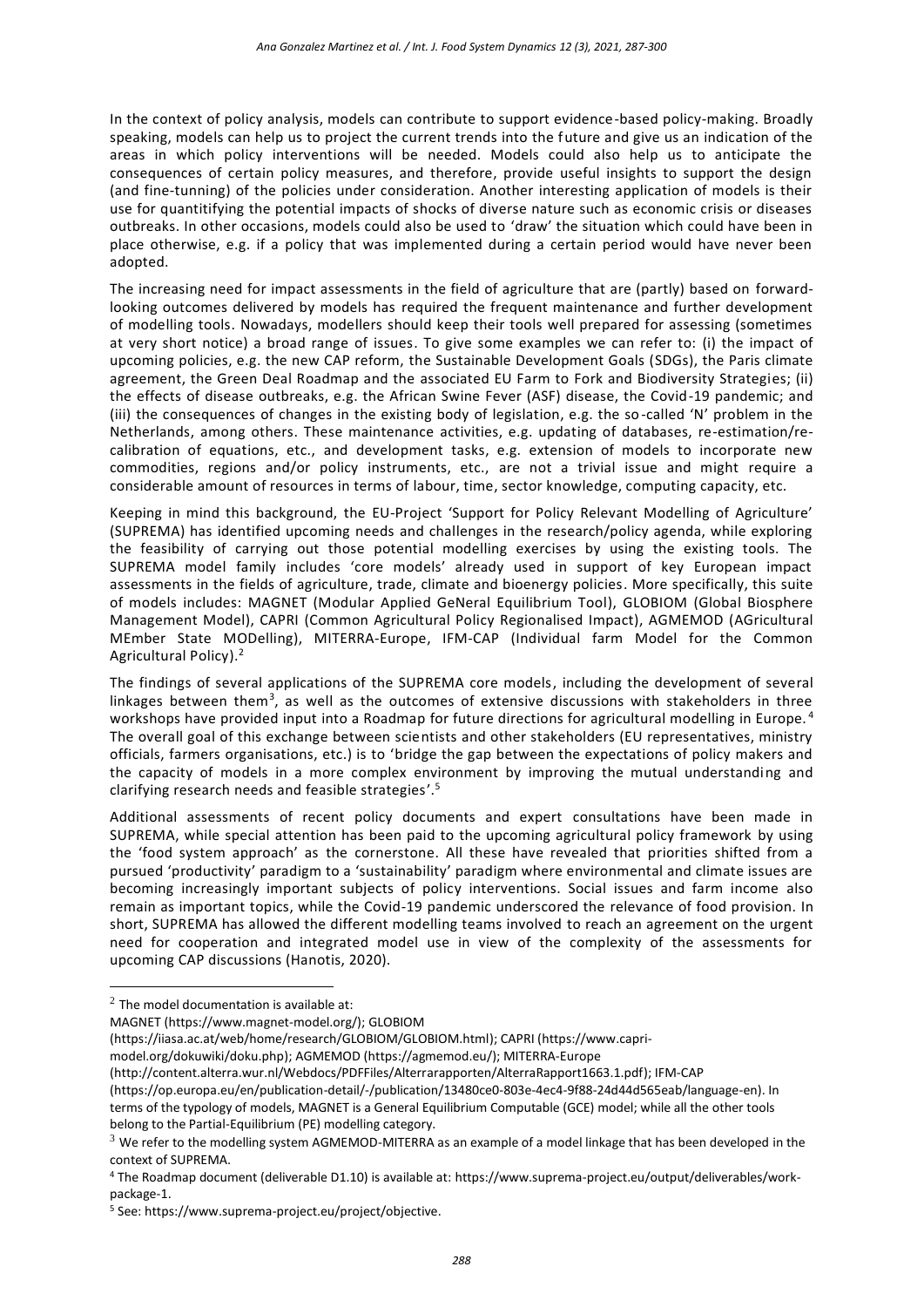In the context of policy analysis, models can contribute to support evidence-based policy-making. Broadly speaking, models can help us to project the current trends into the future and give us an indication of the areas in which policy interventions will be needed. Models could also help us to anticipate the consequences of certain policy measures, and therefore, provide useful insights to support the design (and fine-tunning) of the policies under consideration. Another interesting application of models is their use for quantitifying the potential impacts of shocks of diverse nature such as economic crisis or diseases outbreaks. In other occasions, models could also be used to 'draw' the situation which could have been in place otherwise, e.g. if a policy that was implemented during a certain period would have never been adopted.

The increasing need for impact assessments in the field of agriculture that are (partly) based on forwardlooking outcomes delivered by models has required the frequent maintenance and further development of modelling tools. Nowadays, modellers should keep their tools well prepared for assessing (sometimes at very short notice) a broad range of issues. To give some examples we can refer to: (i) the impact of upcoming policies, e.g. the new CAP reform, the Sustainable Development Goals (SDGs), the Paris climate agreement, the Green Deal Roadmap and the associated EU Farm to Fork and Biodiversity Strategies; (ii) the effects of disease outbreaks, e.g. the African Swine Fever (ASF) disease, the Covid-19 pandemic; and (iii) the consequences of changes in the existing body of legislation, e.g. the so-called 'N' problem in the Netherlands, among others. These maintenance activities, e.g. updating of databases, re-estimation/recalibration of equations, etc., and development tasks, e.g. extension of models to incorporate new commodities, regions and/or policy instruments, etc., are not a trivial issue and might require a considerable amount of resources in terms of labour, time, sector knowledge, computing capacity, etc.

Keeping in mind this background, the EU-Project 'Support for Policy Relevant Modelling of Agriculture' (SUPREMA) has identified upcoming needs and challenges in the research/policy agenda, while exploring the feasibility of carrying out those potential modelling exercises by using the existing tools. The SUPREMA model family includes 'core models' already used in support of key European impact assessments in the fields of agriculture, trade, climate and bioenergy policies. More specifically, this suite of models includes: MAGNET (Modular Applied GeNeral Equilibrium Tool), GLOBIOM (Global Biosphere Management Model), CAPRI (Common Agricultural Policy Regionalised Impact), AGMEMOD (AGricultural MEmber State MODelling), MITERRA-Europe, IFM-CAP (Individual farm Model for the Common Agricultural Policy).<sup>2</sup>

The findings of several applications of the SUPREMA core models, including the development of several linkages between them<sup>3</sup>, as well as the outcomes of extensive discussions with stakeholders in three workshops have provided input into a Roadmap for future directions for agricultural modelling in Europe.<sup>4</sup> The overall goal of this exchange between scientists and other stakeholders (EU representatives, ministry officials, farmers organisations, etc.) is to 'bridge the gap between the expectations of policy makers and the capacity of models in a more complex environment by improving the mutual understanding and clarifying research needs and feasible strategies'.<sup>5</sup>

Additional assessments of recent policy documents and expert consultations have been made in SUPREMA, while special attention has been paid to the upcoming agricultural policy framework by using the 'food system approach' as the cornerstone. All these have revealed that priorities shifted from a pursued 'productivity' paradigm to a 'sustainability' paradigm where environmental and climate issues are becoming increasingly important subjects of policy interventions. Social issues and farm income also remain as important topics, while the Covid-19 pandemic underscored the relevance of food provision. In short, SUPREMA has allowed the different modelling teams involved to reach an agreement on the urgent need for cooperation and integrated model use in view of the complexity of the assessments for upcoming CAP discussions (Hanotis, 2020).

 $\overline{a}$ 

[model.org/dokuwiki/doku.php\)](https://www.capri-model.org/dokuwiki/doku.php); AGMEMOD [\(https://agmemod.eu/\)](https://agmemod.eu/); MITERRA-Europe

 $2$  The model documentation is available at:

MAGNET [\(https://www.magnet-model.org/\)](https://www.magnet-model.org/); GLOBIOM

[<sup>\(</sup>https://iiasa.ac.at/web/home/research/GLOBIOM/GLOBIOM.html\)](https://iiasa.ac.at/web/home/research/GLOBIOM/GLOBIOM.html); CAPRI [\(https://www.capri-](https://www.capri-model.org/dokuwiki/doku.php)

[<sup>\(</sup>http://content.alterra.wur.nl/Webdocs/PDFFiles/Alterrarapporten/AlterraRapport1663.1.pdf\)](http://content.alterra.wur.nl/Webdocs/PDFFiles/Alterrarapporten/AlterraRapport1663.1.pdf); IFM-CAP

[<sup>\(</sup>https://op.europa.eu/en/publication-detail/-/publication/13480ce0-803e-4ec4-9f88-24d44d565eab/language-en\)](https://op.europa.eu/en/publication-detail/-/publication/13480ce0-803e-4ec4-9f88-24d44d565eab/language-en). In terms of the typology of models, MAGNET is a General Equilibrium Computable (GCE) model; while all the other tools belong to the Partial-Equilibrium (PE) modelling category.

 $3$  We refer to the modelling system AGMEMOD-MITERRA as an example of a model linkage that has been developed in the context of SUPREMA.

<sup>4</sup> The Roadmap document (deliverable D1.10) is available at: [https://www.suprema-project.eu/output/deliverables/work](https://www.suprema-project.eu/output/deliverables/work-package-1)[package-1.](https://www.suprema-project.eu/output/deliverables/work-package-1)

<sup>5</sup> See[: https://www.suprema-project.eu/project/objective.](https://www.suprema-project.eu/project/objective)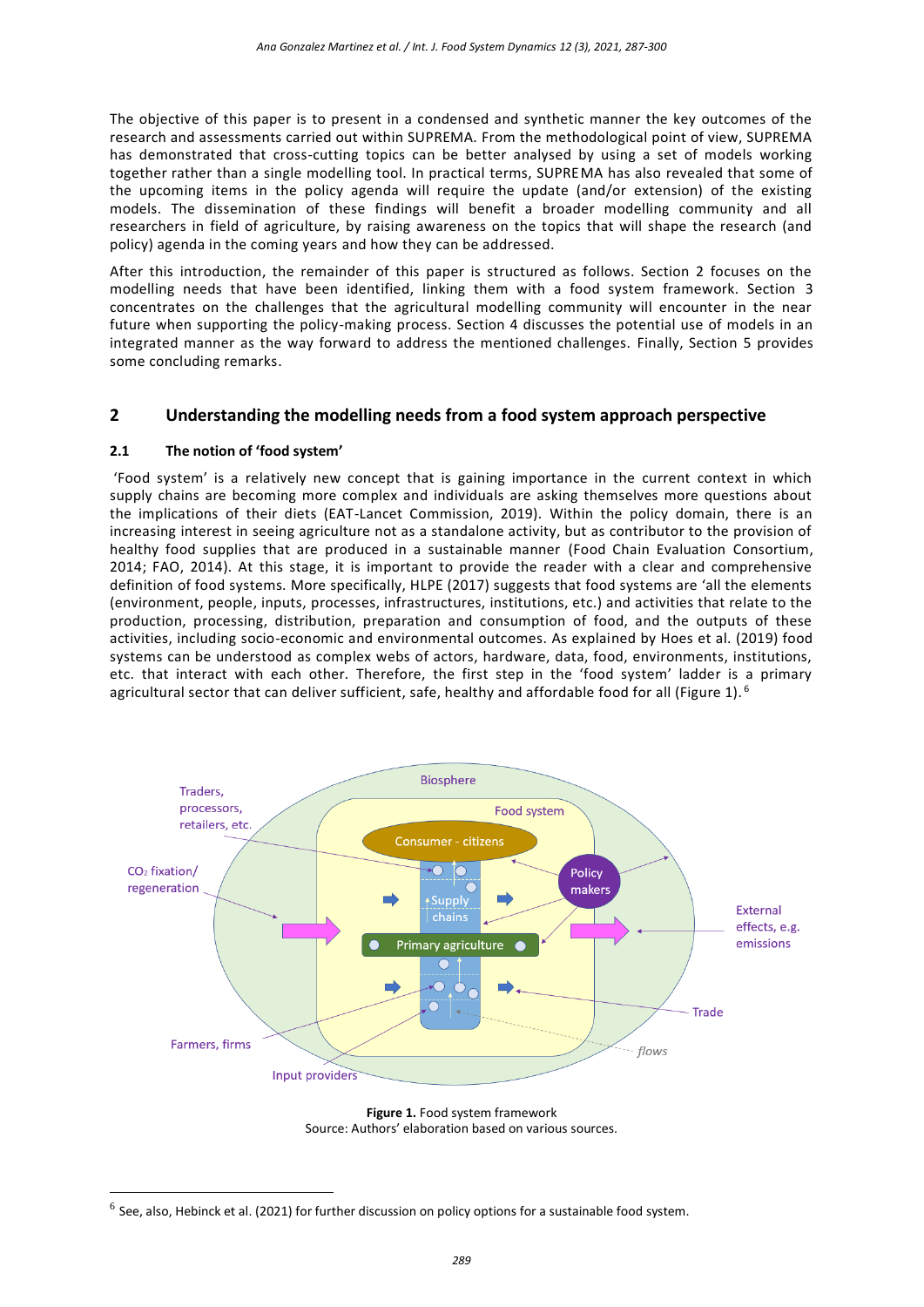The objective of this paper is to present in a condensed and synthetic manner the key outcomes of the research and assessments carried out within SUPREMA. From the methodological point of view, SUPREMA has demonstrated that cross-cutting topics can be better analysed by using a set of models working together rather than a single modelling tool. In practical terms, SUPREMA has also revealed that some of the upcoming items in the policy agenda will require the update (and/or extension) of the existing models. The dissemination of these findings will benefit a broader modelling community and all researchers in field of agriculture, by raising awareness on the topics that will shape the research (and policy) agenda in the coming years and how they can be addressed.

After this introduction, the remainder of this paper is structured as follows. Section 2 focuses on the modelling needs that have been identified, linking them with a food system framework. Section 3 concentrates on the challenges that the agricultural modelling community will encounter in the near future when supporting the policy-making process. Section 4 discusses the potential use of models in an integrated manner as the way forward to address the mentioned challenges. Finally, Section 5 provides some concluding remarks.

## **2 Understanding the modelling needs from a food system approach perspective**

#### **2.1 The notion of 'food system'**

 $\overline{a}$ 

'Food system' is a relatively new concept that is gaining importance in the current context in which supply chains are becoming more complex and individuals are asking themselves more questions about the implications of their diets (EAT-Lancet Commission, 2019). Within the policy domain, there is an increasing interest in seeing agriculture not as a standalone activity, but as contributor to the provision of healthy food supplies that are produced in a sustainable manner (Food Chain Evaluation Consortium, 2014; FAO, 2014). At this stage, it is important to provide the reader with a clear and comprehensive definition of food systems. More specifically, HLPE (2017) suggests that food systems are 'all the elements (environment, people, inputs, processes, infrastructures, institutions, etc.) and activities that relate to the production, processing, distribution, preparation and consumption of food, and the outputs of these activities, including socio-economic and environmental outcomes. As explained by Hoes et al. (2019) food systems can be understood as complex webs of actors, hardware, data, food, environments, institutions, etc. that interact with each other. Therefore, the first step in the 'food system' ladder is a primary agricultural sector that can deliver sufficient, safe, healthy and affordable food for all (Figure 1).<sup>6</sup>



**Figure 1.** Food system framework Source: Authors' elaboration based on various sources.

 $^6$  See, also, Hebinck et al. (2021) for further discussion on policy options for a sustainable food system.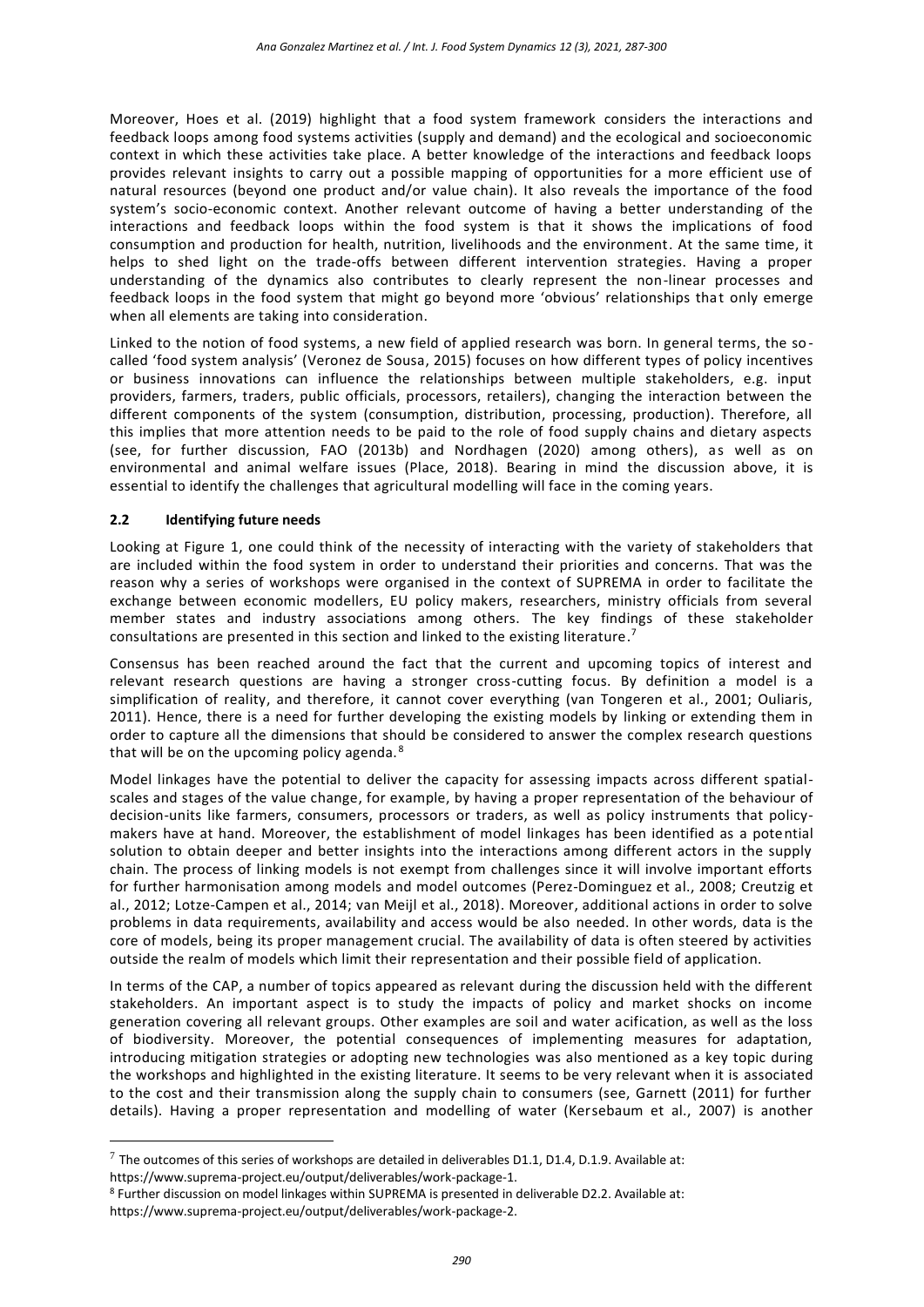Moreover, Hoes et al. (2019) highlight that a food system framework considers the interactions and feedback loops among food systems activities (supply and demand) and the ecological and socioeconomic context in which these activities take place. A better knowledge of the interactions and feedback loops provides relevant insights to carry out a possible mapping of opportunities for a more efficient use of natural resources (beyond one product and/or value chain). It also reveals the importance of the food system's socio-economic context. Another relevant outcome of having a better understanding of the interactions and feedback loops within the food system is that it shows the implications of food consumption and production for health, nutrition, livelihoods and the environment. At the same time, it helps to shed light on the trade-offs between different intervention strategies. Having a proper understanding of the dynamics also contributes to clearly represent the non-linear processes and feedback loops in the food system that might go beyond more 'obvious' relationships that only emerge when all elements are taking into consideration.

Linked to the notion of food systems, a new field of applied research was born. In general terms, the socalled 'food system analysis' (Veronez de Sousa, 2015) focuses on how different types of policy incentives or business innovations can influence the relationships between multiple stakeholders, e.g. input providers, farmers, traders, public officials, processors, retailers), changing the interaction between the different components of the system (consumption, distribution, processing, production). Therefore, all this implies that more attention needs to be paid to the role of food supply chains and dietary aspects (see, for further discussion, FAO (2013b) and Nordhagen (2020) among others), as well as on environmental and animal welfare issues (Place, 2018). Bearing in mind the discussion above, it is essential to identify the challenges that agricultural modelling will face in the coming years.

### **2.2 Identifying future needs**

 $\overline{a}$ 

Looking at Figure 1, one could think of the necessity of interacting with the variety of stakeholders that are included within the food system in order to understand their priorities and concerns. That was the reason why a series of workshops were organised in the context of SUPREMA in order to facilitate the exchange between economic modellers, EU policy makers, researchers, ministry officials from several member states and industry associations among others. The key findings of these stakeholder consultations are presented in this section and linked to the existing literature. 7

Consensus has been reached around the fact that the current and upcoming topics of interest and relevant research questions are having a stronger cross-cutting focus. By definition a model is a simplification of reality, and therefore, it cannot cover everything (van Tongeren et al., 2001; Ouliaris, 2011). Hence, there is a need for further developing the existing models by linking or extending them in order to capture all the dimensions that should be considered to answer the complex research questions that will be on the upcoming policy agenda.<sup>8</sup>

Model linkages have the potential to deliver the capacity for assessing impacts across different spatialscales and stages of the value change, for example, by having a proper representation of the behaviour of decision-units like farmers, consumers, processors or traders, as well as policy instruments that policymakers have at hand. Moreover, the establishment of model linkages has been identified as a potential solution to obtain deeper and better insights into the interactions among different actors in the supply chain. The process of linking models is not exempt from challenges since it will involve important efforts for further harmonisation among models and model outcomes (Perez-Dominguez et al., 2008; Creutzig et al., 2012; Lotze-Campen et al., 2014; van Meijl et al., 2018). Moreover, additional actions in order to solve problems in data requirements, availability and access would be also needed. In other words, data is the core of models, being its proper management crucial. The availability of data is often steered by activities outside the realm of models which limit their representation and their possible field of application.

In terms of the CAP, a number of topics appeared as relevant during the discussion held with the different stakeholders. An important aspect is to study the impacts of policy and market shocks on income generation covering all relevant groups. Other examples are soil and water acification, as well as the loss of biodiversity. Moreover, the potential consequences of implementing measures for adaptation, introducing mitigation strategies or adopting new technologies was also mentioned as a key topic during the workshops and highlighted in the existing literature. It seems to be very relevant when it is associated to the cost and their transmission along the supply chain to consumers (see, Garnett (2011) for further details). Having a proper representation and modelling of water (Kersebaum et al., 2007) is another

 $^7$  The outcomes of this series of workshops are detailed in deliverables D1.1, D1.4, D.1.9. Available at: [https://www.suprema-project.eu/output/deliverables/work-package-1.](https://www.suprema-project.eu/output/deliverables/work-package-1)

<sup>8</sup> Further discussion on model linkages within SUPREMA is presented in deliverable D2.2. Available at: [https://www.suprema-project.eu/output/deliverables/work-package-2.](https://www.suprema-project.eu/output/deliverables/work-package-2)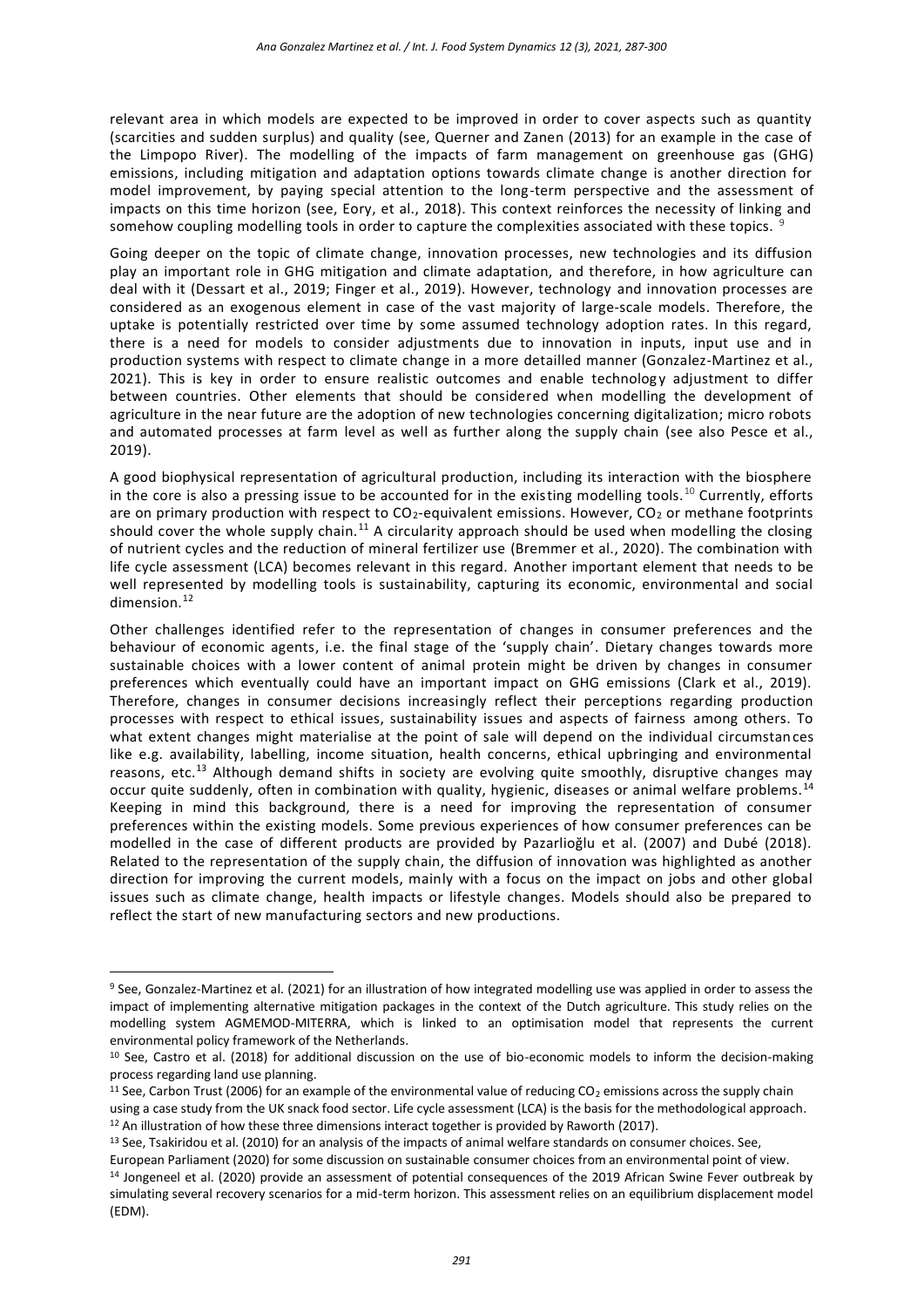relevant area in which models are expected to be improved in order to cover aspects such as quantity (scarcities and sudden surplus) and quality (see, Querner and Zanen (2013) for an example in the case of the Limpopo River). The modelling of the impacts of farm management on greenhouse gas (GHG) emissions, including mitigation and adaptation options towards climate change is another direction for model improvement, by paying special attention to the long-term perspective and the assessment of impacts on this time horizon (see, Eory, et al., 2018). This context reinforces the necessity of linking and somehow coupling modelling tools in order to capture the complexities associated with these topics. <sup>9</sup>

Going deeper on the topic of climate change, innovation processes, new technologies and its diffusion play an important role in GHG mitigation and climate adaptation, and therefore, in how agriculture can deal with it (Dessart et al., 2019; Finger et al., 2019). However, technology and innovation processes are considered as an exogenous element in case of the vast majority of large-scale models. Therefore, the uptake is potentially restricted over time by some assumed technology adoption rates. In this regard, there is a need for models to consider adjustments due to innovation in inputs, input use and in production systems with respect to climate change in a more detailled manner (Gonzalez-Martinez et al., 2021). This is key in order to ensure realistic outcomes and enable technology adjustment to differ between countries. Other elements that should be considered when modelling the development of agriculture in the near future are the adoption of new technologies concerning digitalization; micro robots and automated processes at farm level as well as further along the supply chain (see also Pesce et al., 2019).

A good biophysical representation of agricultural production, including its interaction with the biosphere in the core is also a pressing issue to be accounted for in the existing modelling tools.<sup>10</sup> Currently, efforts are on primary production with respect to  $CO_2$ -equivalent emissions. However,  $CO_2$  or methane footprints should cover the whole supply chain.<sup>11</sup> A circularity approach should be used when modelling the closing of nutrient cycles and the reduction of mineral fertilizer use (Bremmer et al., 2020). The combination with life cycle assessment (LCA) becomes relevant in this regard. Another important element that needs to be well represented by modelling tools is sustainability, capturing its economic, environmental and social dimension.<sup>12</sup>

Other challenges identified refer to the representation of changes in consumer preferences and the behaviour of economic agents, i.e. the final stage of the 'supply chain'. Dietary changes towards more sustainable choices with a lower content of animal protein might be driven by changes in consumer preferences which eventually could have an important impact on GHG emissions (Clark et al., 2019). Therefore, changes in consumer decisions increasingly reflect their perceptions regarding production processes with respect to ethical issues, sustainability issues and aspects of fairness among others. To what extent changes might materialise at the point of sale will depend on the individual circumstances like e.g. availability, labelling, income situation, health concerns, ethical upbringing and environmental reasons, etc.<sup>13</sup> Although demand shifts in society are evolving quite smoothly, disruptive changes may occur quite suddenly, often in combination with quality, hygienic, diseases or animal welfare problems.<sup>14</sup> Keeping in mind this background, there is a need for improving the representation of consumer preferences within the existing models. Some previous experiences of how consumer preferences can be modelled in the case of different products are provided by Pazarlioğlu et al. (2007) and Dubé (2018). Related to the representation of the supply chain, the diffusion of innovation was highlighted as another direction for improving the current models, mainly with a focus on the impact on jobs and other global issues such as climate change, health impacts or lifestyle changes. Models should also be prepared to reflect the start of new manufacturing sectors and new productions.

 $12$  An illustration of how these three dimensions interact together is provided by Raworth (2017).

<sup>9</sup> See, Gonzalez-Martinez et al. (2021) for an illustration of how integrated modelling use was applied in order to assess the impact of implementing alternative mitigation packages in the context of the Dutch agriculture. This study relies on the modelling system AGMEMOD-MITERRA, which is linked to an optimisation model that represents the current environmental policy framework of the Netherlands.

 $10$  See, Castro et al. (2018) for additional discussion on the use of bio-economic models to inform the decision-making process regarding land use planning.

<sup>&</sup>lt;sup>11</sup> See, Carbon Trust (2006) for an example of the environmental value of reducing  $CO<sub>2</sub>$  emissions across the supply chain using a case study from the UK snack food sector. Life cycle assessment (LCA) is the basis for the methodological approach.

<sup>&</sup>lt;sup>13</sup> See, Tsakiridou et al. (2010) for an analysis of the impacts of animal welfare standards on consumer choices. See,

European Parliament (2020) for some discussion on sustainable consumer choices from an environmental point of view. <sup>14</sup> Jongeneel et al. (2020) provide an assessment of potential consequences of the 2019 African Swine Fever outbreak by simulating several recovery scenarios for a mid-term horizon. This assessment relies on an equilibrium displacement model (EDM).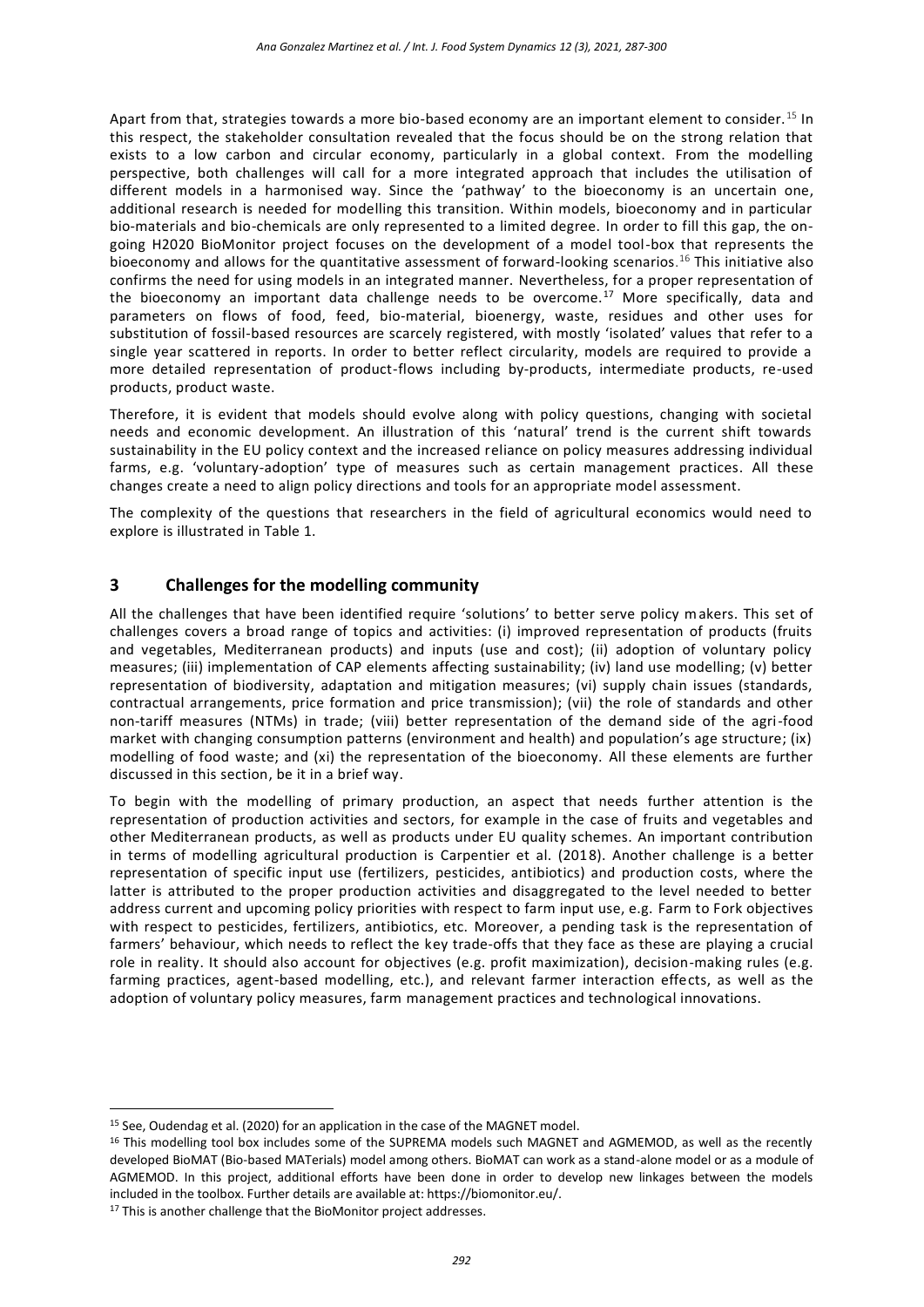Apart from that, strategies towards a more bio-based economy are an important element to consider.<sup>15</sup> In this respect, the stakeholder consultation revealed that the focus should be on the strong relation that exists to a low carbon and circular economy, particularly in a global context. From the modelling perspective, both challenges will call for a more integrated approach that includes the utilisation of different models in a harmonised way. Since the 'pathway' to the bioeconomy is an uncertain one, additional research is needed for modelling this transition. Within models, bioeconomy and in particular bio-materials and bio-chemicals are only represented to a limited degree. In order to fill this gap, the ongoing H2020 BioMonitor project focuses on the development of a model tool-box that represents the bioeconomy and allows for the quantitative assessment of forward-looking scenarios. <sup>16</sup> This initiative also confirms the need for using models in an integrated manner. Nevertheless, for a proper representation of the bioeconomy an important data challenge needs to be overcome.<sup>17</sup> More specifically, data and parameters on flows of food, feed, bio-material, bioenergy, waste, residues and other uses for substitution of fossil-based resources are scarcely registered, with mostly 'isolated' values that refer to a single year scattered in reports. In order to better reflect circularity, models are required to provide a more detailed representation of product-flows including by-products, intermediate products, re-used products, product waste.

Therefore, it is evident that models should evolve along with policy questions, changing with societal needs and economic development. An illustration of this 'natural' trend is the current shift towards sustainability in the EU policy context and the increased reliance on policy measures addressing individual farms, e.g. 'voluntary-adoption' type of measures such as certain management practices. All these changes create a need to align policy directions and tools for an appropriate model assessment.

The complexity of the questions that researchers in the field of agricultural economics would need to explore is illustrated in Table 1.

## **3 Challenges for the modelling community**

All the challenges that have been identified require 'solutions' to better serve policy makers. This set of challenges covers a broad range of topics and activities: (i) improved representation of products (fruits and vegetables, Mediterranean products) and inputs (use and cost); (ii) adoption of voluntary policy measures; (iii) implementation of CAP elements affecting sustainability; (iv) land use modelling; (v) better representation of biodiversity, adaptation and mitigation measures; (vi) supply chain issues (standards, contractual arrangements, price formation and price transmission); (vii) the role of standards and other non-tariff measures (NTMs) in trade; (viii) better representation of the demand side of the agri-food market with changing consumption patterns (environment and health) and population's age structure; (ix) modelling of food waste; and (xi) the representation of the bioeconomy. All these elements are further discussed in this section, be it in a brief way.

To begin with the modelling of primary production, an aspect that needs further attention is the representation of production activities and sectors, for example in the case of fruits and vegetables and other Mediterranean products, as well as products under EU quality schemes. An important contribution in terms of modelling agricultural production is Carpentier et al. (2018). Another challenge is a better representation of specific input use (fertilizers, pesticides, antibiotics) and production costs, where the latter is attributed to the proper production activities and disaggregated to the level needed to better address current and upcoming policy priorities with respect to farm input use, e.g. Farm to Fork objectives with respect to pesticides, fertilizers, antibiotics, etc. Moreover, a pending task is the representation of farmers' behaviour, which needs to reflect the key trade-offs that they face as these are playing a crucial role in reality. It should also account for objectives (e.g. profit maximization), decision-making rules (e.g. farming practices, agent-based modelling, etc.), and relevant farmer interaction effects, as well as the adoption of voluntary policy measures, farm management practices and technological innovations.

<sup>&</sup>lt;sup>15</sup> See, Oudendag et al. (2020) for an application in the case of the MAGNET model.

<sup>&</sup>lt;sup>16</sup> This modelling tool box includes some of the SUPREMA models such MAGNET and AGMEMOD, as well as the recently developed BioMAT (Bio-based MATerials) model among others. BioMAT can work as a stand-alone model or as a module of AGMEMOD. In this project, additional efforts have been done in order to develop new linkages between the models included in the toolbox. Further details are available at[: https://biomonitor.eu/.](https://biomonitor.eu/)

<sup>&</sup>lt;sup>17</sup> This is another challenge that the BioMonitor project addresses.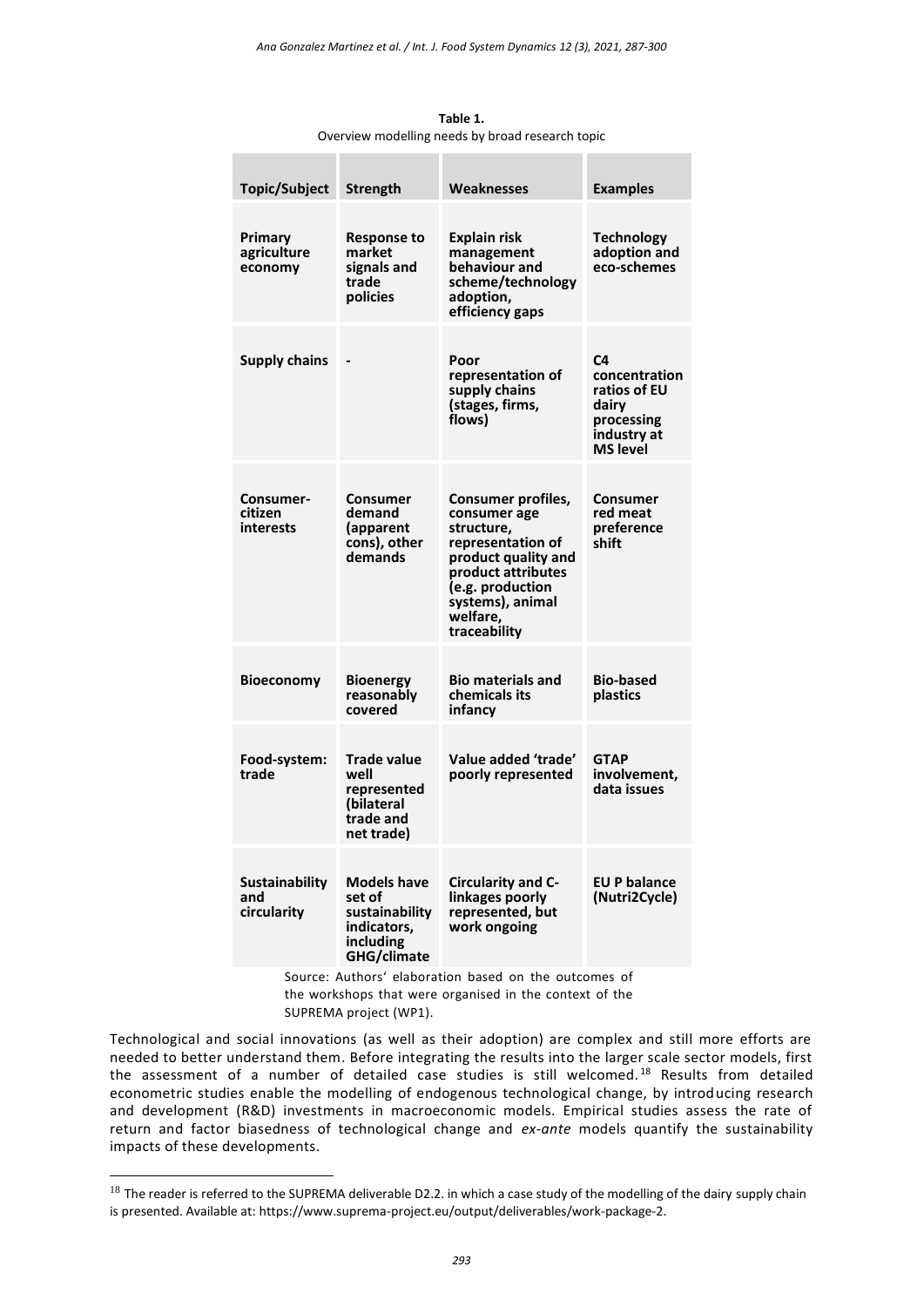| Topic/Subject                                         | <b>Strength</b>                                                                    | Weaknesses                                                                                                                                                                             | <b>Examples</b>                                                                              |
|-------------------------------------------------------|------------------------------------------------------------------------------------|----------------------------------------------------------------------------------------------------------------------------------------------------------------------------------------|----------------------------------------------------------------------------------------------|
| Primary<br>agriculture<br>economy                     | <b>Response to</b><br>market<br>signals and<br>trade<br>policies                   | <b>Explain risk</b><br>management<br>behaviour and<br>scheme/technology<br>adoption,<br>efficiency gaps                                                                                | <b>Technology</b><br>adoption and<br>eco-schemes                                             |
| <b>Supply chains</b>                                  |                                                                                    | Poor<br>representation of<br>supply chains<br>(stages, firms,<br>flows)                                                                                                                | C4<br>concentration<br>ratios of EU<br>dairv<br>processing<br>industry at<br><b>MS level</b> |
| Consumer-<br>citizen<br>interests                     | Consumer<br>demand<br>(apparent<br>cons), other<br>demands                         | Consumer profiles,<br>consumer age<br>structure,<br>representation of<br>product quality and<br>product attributes<br>(e.g. production<br>systems), animal<br>welfare,<br>traceability | Consumer<br>red meat<br>preference<br>shift                                                  |
| <b>Bioeconomy</b>                                     | <b>Bioenergy</b><br>reasonably<br>covered                                          | <b>Bio materials and</b><br>chemicals its<br>infancy                                                                                                                                   | <b>Bio-based</b><br>plastics                                                                 |
| Food-system:<br>trade                                 | <b>Trade value</b><br>well<br>represented<br>(bilateral<br>trade and<br>net trade) | Value added 'trade'<br>poorly represented                                                                                                                                              | <b>GTAP</b><br>involvement,<br>data issues                                                   |
| <b>Sustainability</b><br>and<br>circularity           | Models have<br>set of<br>sustainability<br>indicators,<br>including<br>GHG/climate | Circularity and C-<br>linkages poorly<br>represented, but<br>work ongoing                                                                                                              | <b>EU P balance</b><br>(Nutri2Cycle)                                                         |
| Source: Authors' elaboration based on the outcomes of |                                                                                    |                                                                                                                                                                                        |                                                                                              |

**Table 1.** Overview modelling needs by broad research topic

the workshops that were organised in the context of the SUPREMA project (WP1).

Technological and social innovations (as well as their adoption) are complex and still more efforts are needed to better understand them. Before integrating the results into the larger scale sector models, first the assessment of a number of detailed case studies is still welcomed.<sup>18</sup> Results from detailed econometric studies enable the modelling of endogenous technological change, by introducing research and development (R&D) investments in macroeconomic models. Empirical studies assess the rate of return and factor biasedness of technological change and *ex-ante* models quantify the sustainability impacts of these developments.

 $18$  The reader is referred to the SUPREMA deliverable D2.2. in which a case study of the modelling of the dairy supply chain is presented. Available at: [https://www.suprema-project.eu/output/deliverables/work-package-2.](https://www.suprema-project.eu/output/deliverables/work-package-2)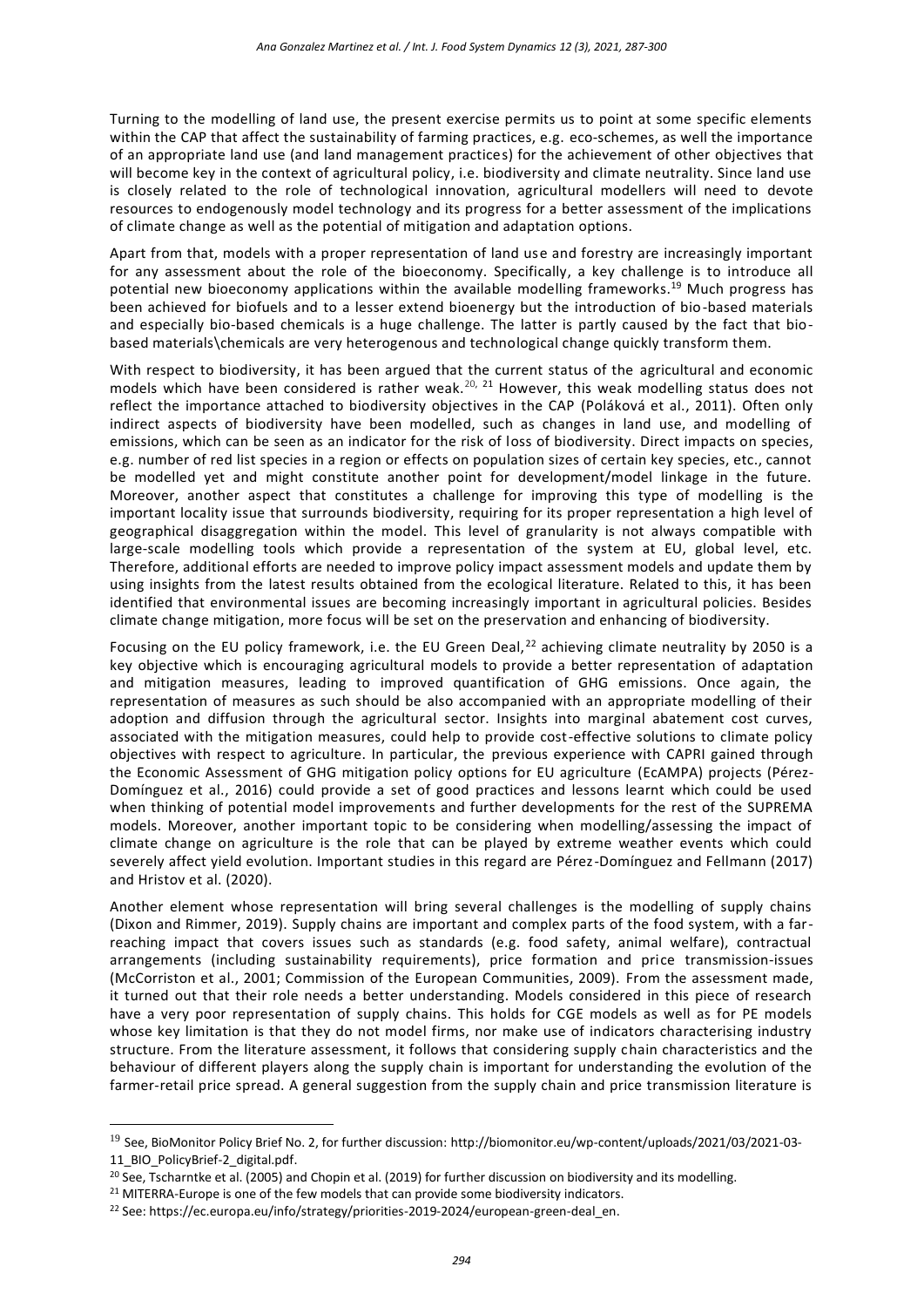Turning to the modelling of land use, the present exercise permits us to point at some specific elements within the CAP that affect the sustainability of farming practices, e.g. eco-schemes, as well the importance of an appropriate land use (and land management practices) for the achievement of other objectives that will become key in the context of agricultural policy, i.e. biodiversity and climate neutrality. Since land use is closely related to the role of technological innovation, agricultural modellers will need to devote resources to endogenously model technology and its progress for a better assessment of the implications of climate change as well as the potential of mitigation and adaptation options.

Apart from that, models with a proper representation of land use and forestry are increasingly important for any assessment about the role of the bioeconomy. Specifically, a key challenge is to introduce all potential new bioeconomy applications within the available modelling frameworks. <sup>19</sup> Much progress has been achieved for biofuels and to a lesser extend bioenergy but the introduction of bio-based materials and especially bio-based chemicals is a huge challenge. The latter is partly caused by the fact that biobased materials\chemicals are very heterogenous and technological change quickly transform them.

With respect to biodiversity, it has been argued that the current status of the agricultural and economic models which have been considered is rather weak.<sup>20, 21</sup> However, this weak modelling status does not reflect the importance attached to biodiversity objectives in the CAP (Poláková et al., 2011). Often only indirect aspects of biodiversity have been modelled, such as changes in land use, and modelling of emissions, which can be seen as an indicator for the risk of loss of biodiversity. Direct impacts on species, e.g. number of red list species in a region or effects on population sizes of certain key species, etc., cannot be modelled yet and might constitute another point for development/model linkage in the future. Moreover, another aspect that constitutes a challenge for improving this type of modelling is the important locality issue that surrounds biodiversity, requiring for its proper representation a high level of geographical disaggregation within the model. This level of granularity is not always compatible with large-scale modelling tools which provide a representation of the system at EU, global level, etc. Therefore, additional efforts are needed to improve policy impact assessment models and update them by using insights from the latest results obtained from the ecological literature. Related to this, it has been identified that environmental issues are becoming increasingly important in agricultural policies. Besides climate change mitigation, more focus will be set on the preservation and enhancing of biodiversity.

Focusing on the EU policy framework, i.e. the EU Green Deal,  $^{22}$  achieving climate neutrality by 2050 is a key objective which is encouraging agricultural models to provide a better representation of adaptation and mitigation measures, leading to improved quantification of GHG emissions. Once again, the representation of measures as such should be also accompanied with an appropriate modelling of their adoption and diffusion through the agricultural sector. Insights into marginal abatement cost curves, associated with the mitigation measures, could help to provide cost-effective solutions to climate policy objectives with respect to agriculture. In particular, the previous experience with CAPRI gained through the Economic Assessment of GHG mitigation policy options for EU agriculture (EcAMPA) projects (Pérez-Domínguez et al., 2016) could provide a set of good practices and lessons learnt which could be used when thinking of potential model improvements and further developments for the rest of the SUPREMA models. Moreover, another important topic to be considering when modelling/assessing the impact of climate change on agriculture is the role that can be played by extreme weather events which could severely affect yield evolution. Important studies in this regard are Pérez-Domínguez and Fellmann (2017) and Hristov et al. (2020).

Another element whose representation will bring several challenges is the modelling of supply chains (Dixon and Rimmer, 2019). Supply chains are important and complex parts of the food system, with a farreaching impact that covers issues such as standards (e.g. food safety, animal welfare), contractual arrangements (including sustainability requirements), price formation and price transmission-issues (McCorriston et al., 2001; Commission of the European Communities, 2009). From the assessment made, it turned out that their role needs a better understanding. Models considered in this piece of research have a very poor representation of supply chains. This holds for CGE models as well as for PE models whose key limitation is that they do not model firms, nor make use of indicators characterising industry structure. From the literature assessment, it follows that considering supply chain characteristics and the behaviour of different players along the supply chain is important for understanding the evolution of the farmer-retail price spread. A general suggestion from the supply chain and price transmission literature is

<sup>&</sup>lt;sup>19</sup> See, BioMonitor Policy Brief No. 2, for further discussion[: http://biomonitor.eu/wp-content/uploads/2021/03/2021-03-](http://biomonitor.eu/wp-content/uploads/2021/03/2021-03-11_BIO_PolicyBrief-2_digital.pdf) [11\\_BIO\\_PolicyBrief-2\\_digital.pdf.](http://biomonitor.eu/wp-content/uploads/2021/03/2021-03-11_BIO_PolicyBrief-2_digital.pdf)

<sup>&</sup>lt;sup>20</sup> See, Tscharntke et al. (2005) and Chopin et al. (2019) for further discussion on biodiversity and its modelling.

<sup>&</sup>lt;sup>21</sup> MITERRA-Europe is one of the few models that can provide some biodiversity indicators.

<sup>&</sup>lt;sup>22</sup> See: https://ec.europa.eu/info/strategy/priorities-2019-2024/european-green-deal en.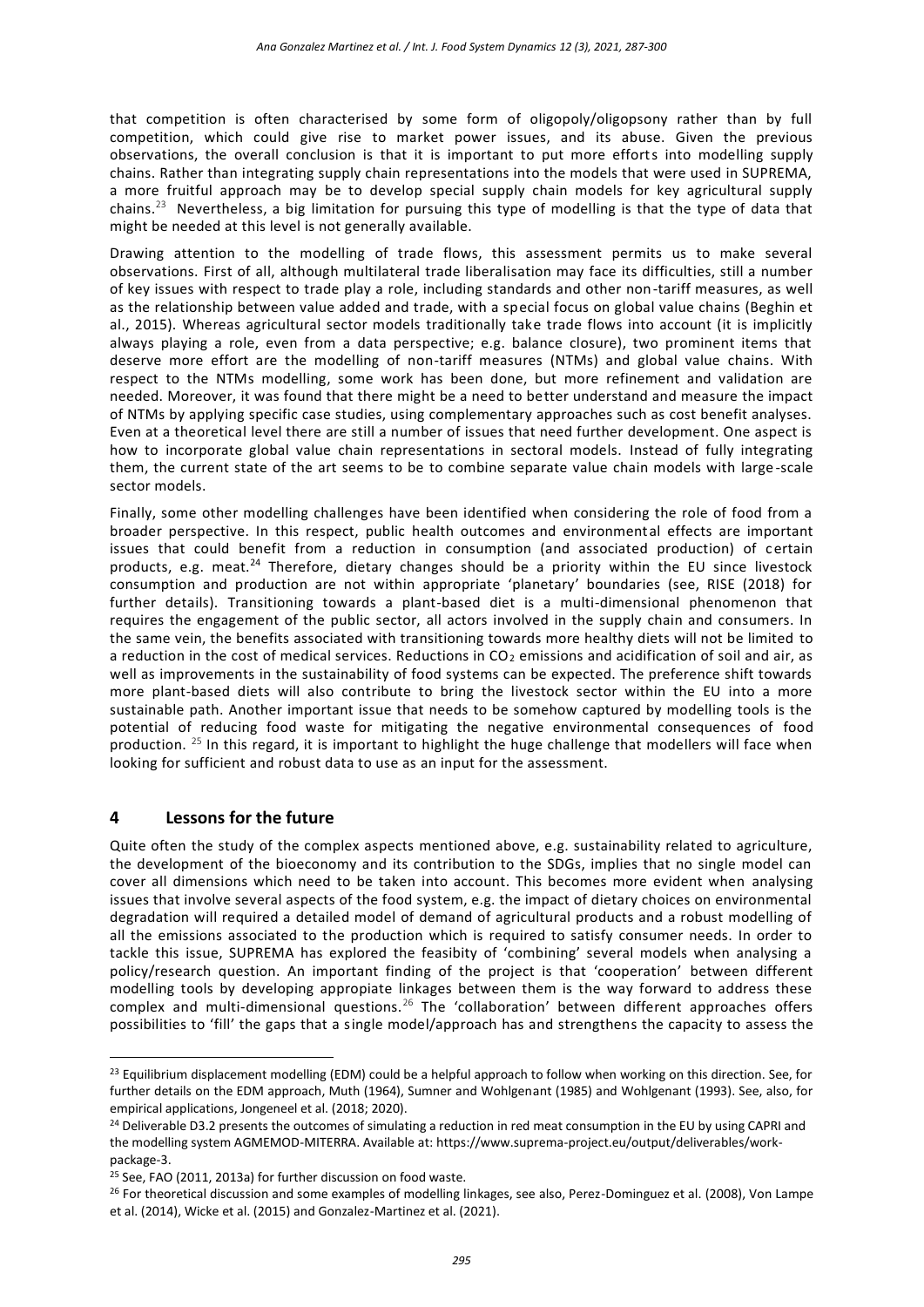that competition is often characterised by some form of oligopoly/oligopsony rather than by full competition, which could give rise to market power issues, and its abuse. Given the previous observations, the overall conclusion is that it is important to put more efforts into modelling supply chains. Rather than integrating supply chain representations into the models that were used in SUPREMA, a more fruitful approach may be to develop special supply chain models for key agricultural supply chains.<sup>23</sup> Nevertheless, a big limitation for pursuing this type of modelling is that the type of data that might be needed at this level is not generally available.

Drawing attention to the modelling of trade flows, this assessment permits us to make several observations. First of all, although multilateral trade liberalisation may face its difficulties, still a number of key issues with respect to trade play a role, including standards and other non-tariff measures, as well as the relationship between value added and trade, with a special focus on global value chains (Beghin et al., 2015). Whereas agricultural sector models traditionally take trade flows into account (it is implicitly always playing a role, even from a data perspective; e.g. balance closure), two prominent items that deserve more effort are the modelling of non-tariff measures (NTMs) and global value chains. With respect to the NTMs modelling, some work has been done, but more refinement and validation are needed. Moreover, it was found that there might be a need to better understand and measure the impact of NTMs by applying specific case studies, using complementary approaches such as cost benefit analyses. Even at a theoretical level there are still a number of issues that need further development. One aspect is how to incorporate global value chain representations in sectoral models. Instead of fully integrating them, the current state of the art seems to be to combine separate value chain models with large -scale sector models.

Finally, some other modelling challenges have been identified when considering the role of food from a broader perspective. In this respect, public health outcomes and environmental effects are important issues that could benefit from a reduction in consumption (and associated production) of certain products, e.g. meat.<sup>24</sup> Therefore, dietary changes should be a priority within the EU since livestock consumption and production are not within appropriate 'planetary' boundaries (see, RISE (2018) for further details). Transitioning towards a plant-based diet is a multi-dimensional phenomenon that requires the engagement of the public sector, all actors involved in the supply chain and consumers. In the same vein, the benefits associated with transitioning towards more healthy diets will not be limited to a reduction in the cost of medical services. Reductions in CO<sub>2</sub> emissions and acidification of soil and air, as well as improvements in the sustainability of food systems can be expected. The preference shift towards more plant-based diets will also contribute to bring the livestock sector within the EU into a more sustainable path. Another important issue that needs to be somehow captured by modelling tools is the potential of reducing food waste for mitigating the negative environmental consequences of food production. <sup>25</sup> In this regard, it is important to highlight the huge challenge that modellers will face when looking for sufficient and robust data to use as an input for the assessment.

## **4 Lessons for the future**

 $\overline{a}$ 

Quite often the study of the complex aspects mentioned above, e.g. sustainability related to agriculture, the development of the bioeconomy and its contribution to the SDGs, implies that no single model can cover all dimensions which need to be taken into account. This becomes more evident when analysing issues that involve several aspects of the food system, e.g. the impact of dietary choices on environmental degradation will required a detailed model of demand of agricultural products and a robust modelling of all the emissions associated to the production which is required to satisfy consumer needs. In order to tackle this issue, SUPREMA has explored the feasibity of 'combining' several models when analysing a policy/research question. An important finding of the project is that 'cooperation' between different modelling tools by developing appropiate linkages between them is the way forward to address these complex and multi-dimensional questions.<sup>26</sup> The 'collaboration' between different approaches offers possibilities to 'fill' the gaps that a single model/approach has and strengthens the capacity to assess the

<sup>&</sup>lt;sup>23</sup> Equilibrium displacement modelling (EDM) could be a helpful approach to follow when working on this direction. See, for further details on the EDM approach, Muth (1964), Sumner and Wohlgenant (1985) and Wohlgenant (1993). See, also, for empirical applications, Jongeneel et al. (2018; 2020).

<sup>&</sup>lt;sup>24</sup> Deliverable D3.2 presents the outcomes of simulating a reduction in red meat consumption in the EU by using CAPRI and the modelling system AGMEMOD-MITERRA. Available at[: https://www.suprema-project.eu/output/deliverables/work](https://www.suprema-project.eu/output/deliverables/work-package-3)[package-3.](https://www.suprema-project.eu/output/deliverables/work-package-3)

<sup>25</sup> See, FAO (2011, 2013a) for further discussion on food waste.

<sup>&</sup>lt;sup>26</sup> For theoretical discussion and some examples of modelling linkages, see also, Perez-Dominguez et al. (2008), Von Lampe et al. (2014), Wicke et al. (2015) and Gonzalez-Martinez et al. (2021).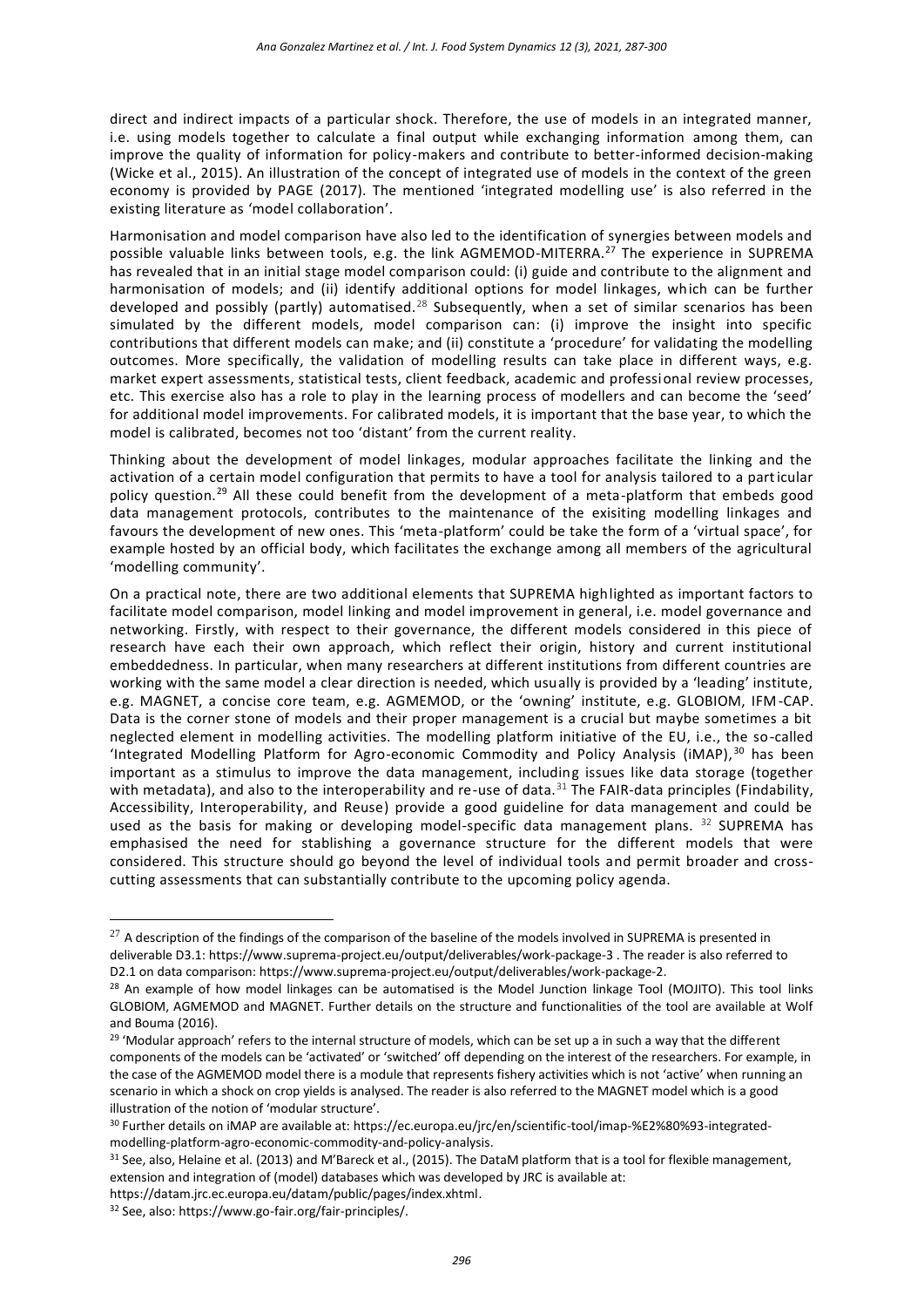direct and indirect impacts of a particular shock. Therefore, the use of models in an integrated manner, i.e. using models together to calculate a final output while exchanging information among them, can improve the quality of information for policy-makers and contribute to better-informed decision-making (Wicke et al., 2015). An illustration of the concept of integrated use of models in the context of the green economy is provided by PAGE (2017). The mentioned 'integrated modelling use' is also referred in the existing literature as 'model collaboration'.

Harmonisation and model comparison have also led to the identification of synergies between models and possible valuable links between tools, e.g. the link AGMEMOD-MITERRA.<sup>27</sup> The experience in SUPREMA has revealed that in an initial stage model comparison could: (i) guide and contribute to the alignment and harmonisation of models; and (ii) identify additional options for model linkages, which can be further developed and possibly (partly) automatised.<sup>28</sup> Subsequently, when a set of similar scenarios has been simulated by the different models, model comparison can: (i) improve the insight into specific contributions that different models can make; and (ii) constitute a 'procedure' for validating the modelling outcomes. More specifically, the validation of modelling results can take place in different ways, e.g. market expert assessments, statistical tests, client feedback, academic and professional review processes, etc. This exercise also has a role to play in the learning process of modellers and can become the 'seed' for additional model improvements. For calibrated models, it is important that the base year, to which the model is calibrated, becomes not too 'distant' from the current reality.

Thinking about the development of model linkages, modular approaches facilitate the linking and the activation of a certain model configuration that permits to have a tool for analysis tailored to a particular policy question.<sup>29</sup> All these could benefit from the development of a meta-platform that embeds good data management protocols, contributes to the maintenance of the exisiting modelling linkages and favours the development of new ones. This 'meta-platform' could be take the form of a 'virtual space', for example hosted by an official body, which facilitates the exchange among all members of the agricultural 'modelling community'.

On a practical note, there are two additional elements that SUPREMA highlighted as important factors to facilitate model comparison, model linking and model improvement in general, i.e. model governance and networking. Firstly, with respect to their governance, the different models considered in this piece of research have each their own approach, which reflect their origin, history and current institutional embeddedness. In particular, when many researchers at different institutions from different countries are working with the same model a clear direction is needed, which usually is provided by a 'leading' institute, e.g. MAGNET, a concise core team, e.g. AGMEMOD, or the 'owning' institute, e.g. GLOBIOM, IFM-CAP. Data is the corner stone of models and their proper management is a crucial but maybe sometimes a bit neglected element in modelling activities. The modelling platform initiative of the EU, i.e., the so-called 'Integrated Modelling Platform for Agro-economic Commodity and Policy Analysis (iMAP),<sup>30</sup> has been important as a stimulus to improve the data management, including issues like data storage (together with metadata), and also to the interoperability and re-use of data.<sup>31</sup> The FAIR-data principles (Findability, Accessibility, Interoperability, and Reuse) provide a good guideline for data management and could be used as the basis for making or developing model-specific data management plans.  $32$  SUPREMA has emphasised the need for stablishing a governance structure for the different models that were considered. This structure should go beyond the level of individual tools and permit broader and crosscutting assessments that can substantially contribute to the upcoming policy agenda.

 $27$  A description of the findings of the comparison of the baseline of the models involved in SUPREMA is presented in deliverable D3.1: <https://www.suprema-project.eu/output/deliverables/work-package-3> . The reader is also referred to D2.1 on data comparison: [https://www.suprema-project.eu/output/deliverables/work-package-2.](https://www.suprema-project.eu/output/deliverables/work-package-2)

<sup>&</sup>lt;sup>28</sup> An example of how model linkages can be automatised is the Model Junction linkage Tool (MOJITO). This tool links GLOBIOM, AGMEMOD and MAGNET. Further details on the structure and functionalities of the tool are available at Wolf and Bouma (2016).

<sup>&</sup>lt;sup>29</sup> 'Modular approach' refers to the internal structure of models, which can be set up a in such a way that the different components of the models can be 'activated' or 'switched' off depending on the interest of the researchers. For example, in the case of the AGMEMOD model there is a module that represents fishery activities which is not 'active' when running an scenario in which a shock on crop yields is analysed. The reader is also referred to the MAGNET model which is a good illustration of the notion of 'modular structure'.

<sup>30</sup> Further details on iMAP are available at: [https://ec.europa.eu/jrc/en/scientific-tool/imap-%E2%80%93-integrated](https://ec.europa.eu/jrc/en/scientific-tool/imap-%E2%80%93-integrated-modelling-platform-agro-economic-commodity-and-policy-analysis)[modelling-platform-agro-economic-commodity-and-policy-analysis.](https://ec.europa.eu/jrc/en/scientific-tool/imap-%E2%80%93-integrated-modelling-platform-agro-economic-commodity-and-policy-analysis)

<sup>&</sup>lt;sup>31</sup> See, also, Helaine et al. (2013) and M'Bareck et al., (2015). The DataM platform that is a tool for flexible management, extension and integration of (model) databases which was developed by JRC is available at:

[https://datam.jrc.ec.europa.eu/datam/public/pages/index.xhtml.](https://datam.jrc.ec.europa.eu/datam/public/pages/index.xhtml) 

<sup>32</sup> See, also[: https://www.go-fair.org/fair-principles/.](https://www.go-fair.org/fair-principles/)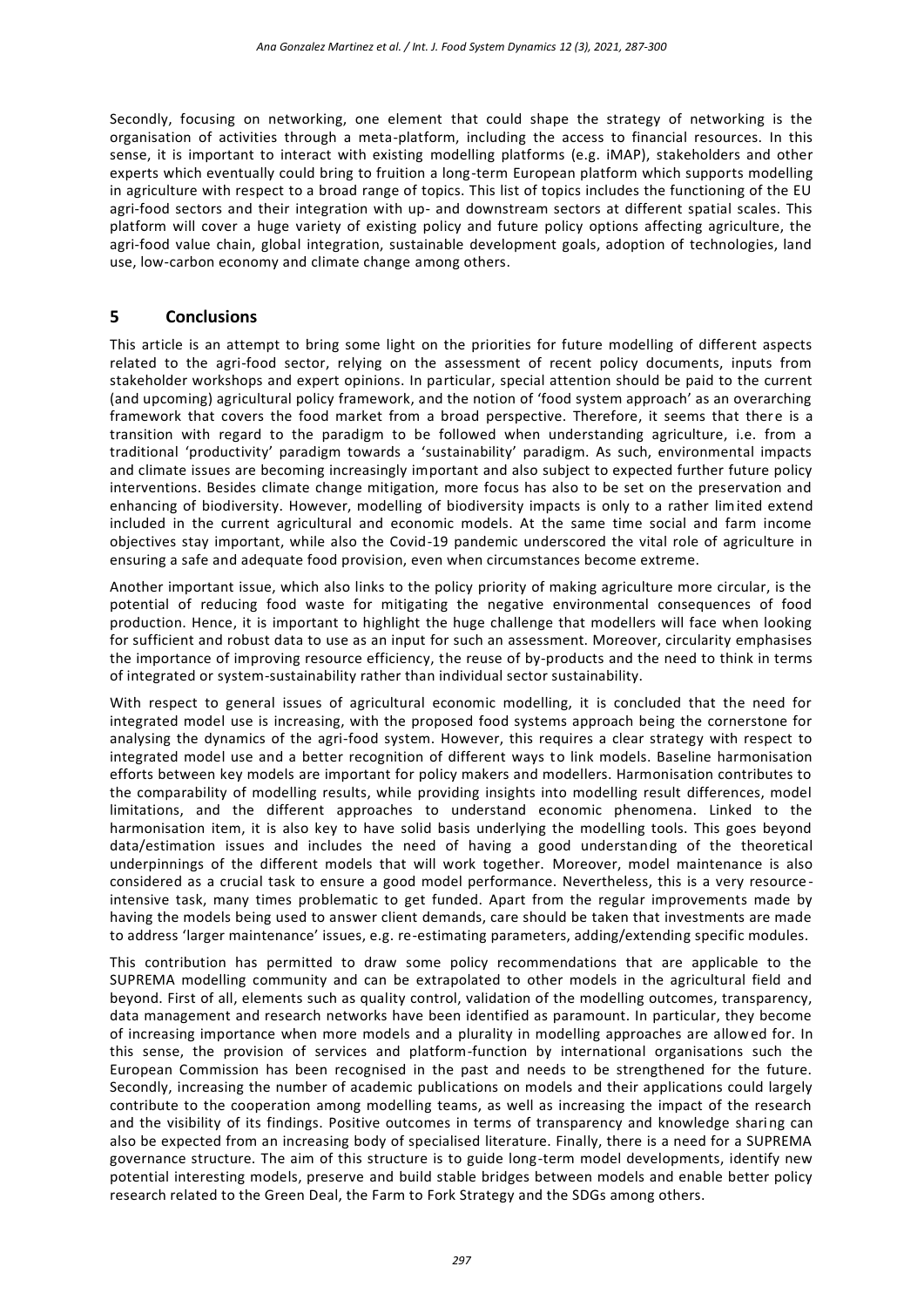Secondly, focusing on networking, one element that could shape the strategy of networking is the organisation of activities through a meta-platform, including the access to financial resources. In this sense, it is important to interact with existing modelling platforms (e.g. iMAP), stakeholders and other experts which eventually could bring to fruition a long-term European platform which supports modelling in agriculture with respect to a broad range of topics. This list of topics includes the functioning of the EU agri-food sectors and their integration with up- and downstream sectors at different spatial scales. This platform will cover a huge variety of existing policy and future policy options affecting agriculture, the agri-food value chain, global integration, sustainable development goals, adoption of technologies, land use, low-carbon economy and climate change among others.

## **5 Conclusions**

This article is an attempt to bring some light on the priorities for future modelling of different aspects related to the agri-food sector, relying on the assessment of recent policy documents, inputs from stakeholder workshops and expert opinions. In particular, special attention should be paid to the current (and upcoming) agricultural policy framework, and the notion of 'food system approach' as an overarching framework that covers the food market from a broad perspective. Therefore, it seems that there is a transition with regard to the paradigm to be followed when understanding agriculture, i.e. from a traditional 'productivity' paradigm towards a 'sustainability' paradigm. As such, environmental impacts and climate issues are becoming increasingly important and also subject to expected further future policy interventions. Besides climate change mitigation, more focus has also to be set on the preservation and enhancing of biodiversity. However, modelling of biodiversity impacts is only to a rather limited extend included in the current agricultural and economic models. At the same time social and farm income objectives stay important, while also the Covid-19 pandemic underscored the vital role of agriculture in ensuring a safe and adequate food provision, even when circumstances become extreme.

Another important issue, which also links to the policy priority of making agriculture more circular, is the potential of reducing food waste for mitigating the negative environmental consequences of food production. Hence, it is important to highlight the huge challenge that modellers will face when looking for sufficient and robust data to use as an input for such an assessment. Moreover, circularity emphasises the importance of improving resource efficiency, the reuse of by-products and the need to think in terms of integrated or system-sustainability rather than individual sector sustainability.

With respect to general issues of agricultural economic modelling, it is concluded that the need for integrated model use is increasing, with the proposed food systems approach being the cornerstone for analysing the dynamics of the agri-food system. However, this requires a clear strategy with respect to integrated model use and a better recognition of different ways to link models. Baseline harmonisation efforts between key models are important for policy makers and modellers. Harmonisation contributes to the comparability of modelling results, while providing insights into modelling result differences, model limitations, and the different approaches to understand economic phenomena. Linked to the harmonisation item, it is also key to have solid basis underlying the modelling tools. This goes beyond data/estimation issues and includes the need of having a good understanding of the theoretical underpinnings of the different models that will work together. Moreover, model maintenance is also considered as a crucial task to ensure a good model performance. Nevertheless, this is a very resource intensive task, many times problematic to get funded. Apart from the regular improvements made by having the models being used to answer client demands, care should be taken that investments are made to address 'larger maintenance' issues, e.g. re-estimating parameters, adding/extending specific modules.

This contribution has permitted to draw some policy recommendations that are applicable to the SUPREMA modelling community and can be extrapolated to other models in the agricultural field and beyond. First of all, elements such as quality control, validation of the modelling outcomes, transparency, data management and research networks have been identified as paramount. In particular, they become of increasing importance when more models and a plurality in modelling approaches are allowed for. In this sense, the provision of services and platform-function by international organisations such the European Commission has been recognised in the past and needs to be strengthened for the future. Secondly, increasing the number of academic publications on models and their applications could largely contribute to the cooperation among modelling teams, as well as increasing the impact of the research and the visibility of its findings. Positive outcomes in terms of transparency and knowledge sharing can also be expected from an increasing body of specialised literature. Finally, there is a need for a SUPREMA governance structure. The aim of this structure is to guide long-term model developments, identify new potential interesting models, preserve and build stable bridges between models and enable better policy research related to the Green Deal, the Farm to Fork Strategy and the SDGs among others.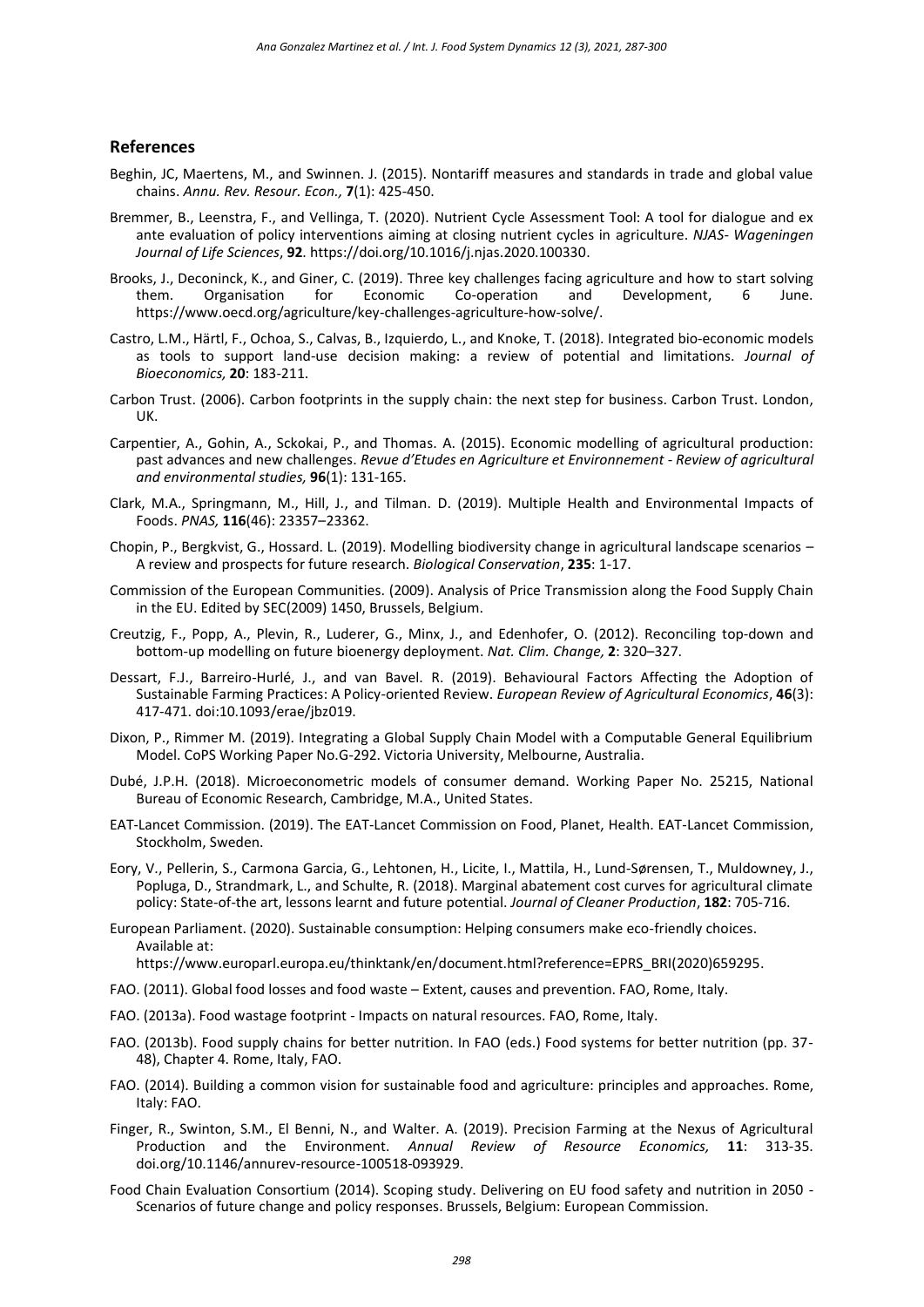#### **References**

- Beghin, JC, Maertens, M., and Swinnen. J. (2015). Nontariff measures and standards in trade and global value chains. *Annu. Rev. Resour. Econ.,* **7**(1): 425-450.
- Bremmer, B., Leenstra, F., and Vellinga, T. (2020). Nutrient Cycle Assessment Tool: A tool for dialogue and ex ante evaluation of policy interventions aiming at closing nutrient cycles in agriculture. *NJAS- Wageningen Journal of Life Sciences*, **92**. [https://doi.org/10.1016/j.njas.2020.100330.](https://doi.org/10.1016/j.njas.2020.100330)
- Brooks, J., Deconinck, K., and Giner, C. (2019). Three key challenges facing agriculture and how to start solving them. Organisation for Economic Co-operation and Development, 6 June. [https://www.oecd.org/agriculture/key-challenges-agriculture-how-solve/.](https://www.oecd.org/agriculture/key-challenges-agriculture-how-solve/)
- Castro, L.M., Härtl, F., Ochoa, S., Calvas, B., Izquierdo, L., and Knoke, T. (2018). Integrated bio-economic models as tools to support land-use decision making: a review of potential and limitations. *Journal of Bioeconomics,* **20**: 183-211.
- Carbon Trust. (2006). Carbon footprints in the supply chain: the next step for business. Carbon Trust. London, UK.
- Carpentier, A., Gohin, A., Sckokai, P., and Thomas. A. (2015). Economic modelling of agricultural production: past advances and new challenges. *Revue d'Etudes en Agriculture et Environnement - Review of agricultural and environmental studies,* **96**(1): 131-165.
- Clark, M.A., Springmann, M., Hill, J., and Tilman. D. (2019). Multiple Health and Environmental Impacts of Foods. *PNAS,* **116**(46): 23357–23362.
- Chopin, P., Bergkvist, G., Hossard. L. (2019). Modelling biodiversity change in agricultural landscape scenarios A review and prospects for future research. *Biological Conservation*, **235**: 1-17.
- Commission of the European Communities. (2009). Analysis of Price Transmission along the Food Supply Chain in the EU. Edited by SEC(2009) 1450, Brussels, Belgium.
- Creutzig, F., Popp, A., Plevin, R., Luderer, G., Minx, J., and Edenhofer, O. (2012). Reconciling top-down and bottom-up modelling on future bioenergy deployment. *Nat. Clim. Change,* **2**: 320–327.
- Dessart, F.J., Barreiro-Hurlé, J., and van Bavel. R. (2019). Behavioural Factors Affecting the Adoption of Sustainable Farming Practices: A Policy-oriented Review. *European Review of Agricultural Economics*, **46**(3): 417-471. doi:10.1093/erae/jbz019.
- Dixon, P., Rimmer M. (2019). Integrating a Global Supply Chain Model with a Computable General Equilibrium Model. CoPS Working Paper No.G-292. Victoria University, Melbourne, Australia.
- Dubé, J.P.H. (2018). Microeconometric models of consumer demand. Working Paper No. 25215, National Bureau of Economic Research, Cambridge, M.A., United States.
- EAT-Lancet Commission. (2019). The EAT-Lancet Commission on Food, Planet, Health. EAT-Lancet Commission, Stockholm, Sweden.
- Eory, V., Pellerin, S., Carmona Garcia, G., Lehtonen, H., Licite, I., Mattila, H., Lund-Sørensen, T., Muldowney, J., Popluga, D., Strandmark, L., and Schulte, R. (2018). Marginal abatement cost curves for agricultural climate policy: State-of-the art, lessons learnt and future potential. *Journal of Cleaner Production*, **182**: 705-716.
- European Parliament. (2020). Sustainable consumption: Helping consumers make eco-friendly choices. Available at:

[https://www.europarl.europa.eu/thinktank/en/document.html?reference=EPRS\\_BRI\(2020\)659295.](https://www.europarl.europa.eu/thinktank/en/document.html?reference=EPRS_BRI(2020)659295)

- FAO. (2011). Global food losses and food waste Extent, causes and prevention. FAO, Rome, Italy.
- FAO. (2013a). Food wastage footprint Impacts on natural resources. FAO, Rome, Italy.
- FAO. (2013b). Food supply chains for better nutrition. In FAO (eds.) Food systems for better nutrition (pp. 37- 48), Chapter 4. Rome, Italy, FAO.
- FAO. (2014). Building a common vision for sustainable food and agriculture: principles and approaches. Rome, Italy: FAO.
- Finger, R., Swinton, S.M., El Benni, N., and Walter. A. (2019). Precision Farming at the Nexus of Agricultural Production and the Environment. *Annual Review of Resource Economics,* **11**: 313-35. doi.org/10.1146/annurev-resource-100518-093929.
- Food Chain Evaluation Consortium (2014). Scoping study. Delivering on EU food safety and nutrition in 2050 Scenarios of future change and policy responses. Brussels, Belgium: European Commission.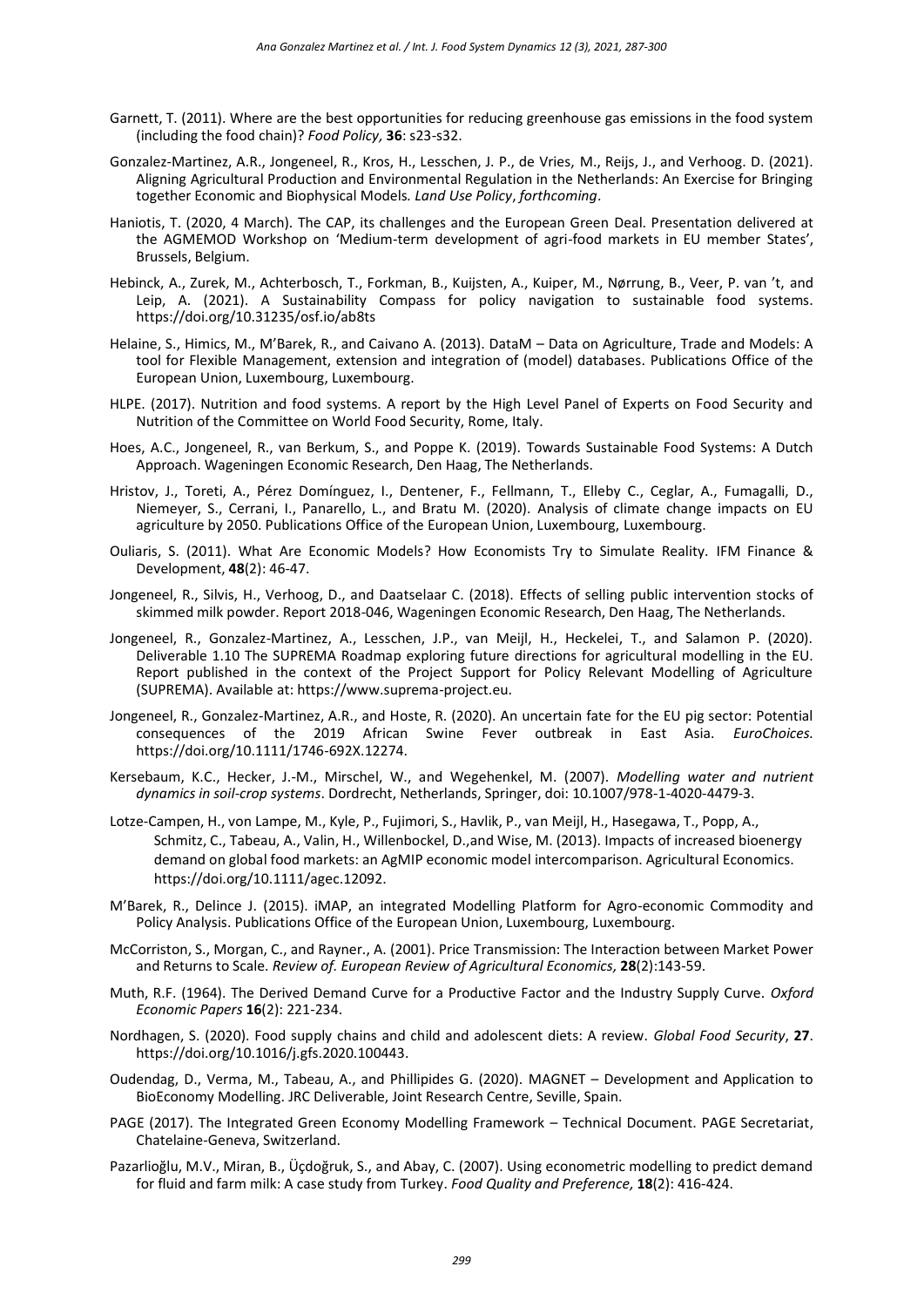- Garnett, T. (2011). Where are the best opportunities for reducing greenhouse gas emissions in the food system (including the food chain)? *Food Policy,* **36**: s23-s32.
- Gonzalez-Martinez, A.R., Jongeneel, R., Kros, H., Lesschen, J. P., de Vries, M., Reijs, J., and Verhoog. D. (2021). Aligning Agricultural Production and Environmental Regulation in the Netherlands: An Exercise for Bringing together Economic and Biophysical Models*. Land Use Policy*, *forthcoming*.
- Haniotis, T. (2020, 4 March). The CAP, its challenges and the European Green Deal. Presentation delivered at the AGMEMOD Workshop on 'Medium-term development of agri-food markets in EU member States', Brussels, Belgium.
- Hebinck, A., Zurek, M., Achterbosch, T., Forkman, B., Kuijsten, A., Kuiper, M., Nørrung, B., Veer, P. van 't, and Leip, A. (2021). A Sustainability Compass for policy navigation to sustainable food systems. https://doi.org/10.31235/osf.io/ab8ts
- Helaine, S., Himics, M., M'Barek, R., and Caivano A. (2013). DataM Data on Agriculture, Trade and Models: A tool for Flexible Management, extension and integration of (model) databases. Publications Office of the European Union, Luxembourg, Luxembourg.
- HLPE. (2017). Nutrition and food systems. A report by the High Level Panel of Experts on Food Security and Nutrition of the Committee on World Food Security, Rome, Italy.
- Hoes, A.C., Jongeneel, R., van Berkum, S., and Poppe K. (2019). Towards Sustainable Food Systems: A Dutch Approach. Wageningen Economic Research, Den Haag, The Netherlands.
- Hristov, J., Toreti, A., Pérez Domínguez, I., Dentener, F., Fellmann, T., Elleby C., Ceglar, A., Fumagalli, D., Niemeyer, S., Cerrani, I., Panarello, L., and Bratu M. (2020). Analysis of climate change impacts on EU agriculture by 2050. Publications Office of the European Union, Luxembourg, Luxembourg.
- Ouliaris, S. (2011). What Are Economic Models? How Economists Try to Simulate Reality. IFM Finance & Development, **48**(2): 46-47.
- Jongeneel, R., Silvis, H., Verhoog, D., and Daatselaar C. (2018). Effects of selling public intervention stocks of skimmed milk powder. Report 2018-046, Wageningen Economic Research, Den Haag, The Netherlands.
- Jongeneel, R., Gonzalez-Martinez, A., Lesschen, J.P., van Meijl, H., Heckelei, T., and Salamon P. (2020). Deliverable 1.10 The SUPREMA Roadmap exploring future directions for agricultural modelling in the EU. Report published in the context of the Project Support for Policy Relevant Modelling of Agriculture (SUPREMA). Available at: https://www.suprema-project.eu.
- Jongeneel, R., Gonzalez-Martinez, A.R., and Hoste, R. (2020). An uncertain fate for the EU pig sector: Potential consequences of the 2019 African Swine Fever outbreak in East Asia. *EuroChoices.* [https://doi.org/10.1111/1746-692X.12274.](https://doi.org/10.1111/1746-692X.12274)
- Kersebaum, K.C., Hecker, J.-M., Mirschel, W., and Wegehenkel, M. (2007). *Modelling water and nutrient dynamics in soil-crop systems*. Dordrecht, Netherlands, Springer, doi: 10.1007/978-1-4020-4479-3.
- Lotze‐Campen, H., von Lampe, M., Kyle, P., Fujimori, S., Havlik, P., van Meijl, H., Hasegawa, T., Popp, A., Schmitz, C., Tabeau, A., Valin, H., Willenbockel, D.,and Wise, M. (2013). Impacts of increased bioenergy demand on global food markets: an AgMIP economic model intercomparison. Agricultural Economics. https://doi.org/10.1111/agec.12092.
- M'Barek, R., Delince J. (2015). iMAP, an integrated Modelling Platform for Agro-economic Commodity and Policy Analysis. Publications Office of the European Union, Luxembourg, Luxembourg.
- McCorriston, S., Morgan, C., and Rayner., A. (2001). Price Transmission: The Interaction between Market Power and Returns to Scale. *Review of. European Review of Agricultural Economics,* **28**(2):143-59.
- Muth, R.F. (1964). The Derived Demand Curve for a Productive Factor and the Industry Supply Curve. *Oxford Economic Papers* **16**(2): 221-234.
- Nordhagen, S. (2020). Food supply chains and child and adolescent diets: A review. *Global Food Security*, **27**. [https://doi.org/10.1016/j.gfs.2020.100443.](https://doi.org/10.1016/j.gfs.2020.100443)
- Oudendag, D., Verma, M., Tabeau, A., and Phillipides G. (2020). MAGNET Development and Application to BioEconomy Modelling. JRC Deliverable, Joint Research Centre, Seville, Spain.
- PAGE (2017). The Integrated Green Economy Modelling Framework Technical Document. PAGE Secretariat, Chatelaine-Geneva, Switzerland.
- Pazarlioğlu, M.V., Miran, B., Üçdoğruk, S., and Abay, C. (2007). Using econometric modelling to predict demand for fluid and farm milk: A case study from Turkey. *Food Quality and Preference,* **18**(2): 416-424.